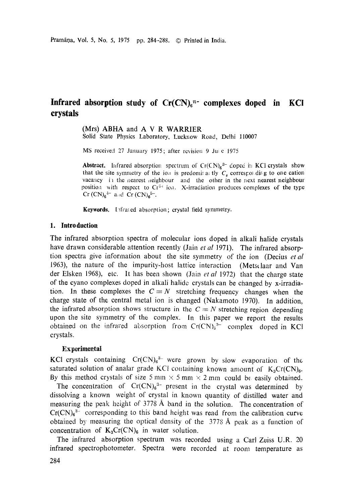# Infrared absorption study of Cr(CN)<sub>6</sub><sup>n-</sup> complexes doped in KCI **crystals**

(Mrs) ABHA and A V R WARRIER

Solid State Physics Laboratory, Lucknow Road, Delhi 110007

MS received 27 January 1975; after revision 9 Julie 1975

**Abstract.** Infrared absorption spectrum of  $Cr(CN)_{6}^{3-}$  doped in KCI crystals show that the site symmetry of the iou is predomir at tly  $C<sub>s</sub>$  corresponding to one cation vacancy in the nearest reighbour and the other in the next nearest neighbour position with respect to  $Cr^{3+}$  ion. X-irradiation produces complexes of the type  $Cr (CN)<sub>6</sub><sup>4-</sup>$  and  $Cr (CN)<sub>6</sub><sup>5-</sup>$ .

Keywords. Infrared absorption; crystal field symmetry.

#### **1. Introduction**

The infrared absorption spectra of molecular ions doped in alkali halide crystals have drawn considerable attention recently (Jain *et al* 1971). The infrared absorption spectra give information about the site symraetry of the ion (Decius *etal*  1963), the nature of the impurity-host lattice interaction (Metstlaar and Van der Elsken 1968), etc. It has been shown (Jain *et al* 1972) that the charge state of the cyano complexes doped in alkali halide crystals can be changed by x-irradiation. In these complexes the  $C \equiv N$  stretching frequency changes when the charge state of the central metal ion is changed (Nakamoto 1970). In addition, the infrared absorption shows structure in the  $C \equiv N$  stretching region depending upon the site symmetry of the complex. In this paper we report the results obtained on the infrared absorption from  $Cr(CN)_6^{3-}$  complex doped in KCl crystals.

#### Experimental

KCI crystals containing  $Cr(CN)_{6}^{3}$  were grown by slow evaporation of the saturated solution of analar grade KCl containing known amount of  $K_3Cr(CN)_{6}$ . By this method crystals of size 5 mm  $\times$  5 mm  $\times$  2 mm could be easily obtained.

The concentration of  $Cr(CN)_0^3$ - present in the crystal was determined by dissolving a known weight of crystal in known quantity of distilled water and measuring the peak height of 3778 A band in the solution. The concentration of  $Cr(CN)<sub>6</sub>$ <sup>3-</sup> corresponding to this band height was read from the calibration curve obtained by measuring the optical density of the 3778 A peak as a function of concentration of  $K_3Cr(CN)_6$  in water solution.

The infrared absorption spectrum was recorded using a Carl Zeiss U.R. 20 infrared spectrophotometer. Spectra were recorded at room temperature as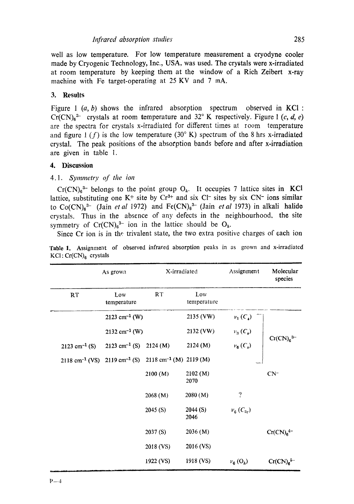well as low temperature. For low temperature measurement a cryodyne cooler made by Cryogenic Technology, Inc., USA, was used. The crystals were x-irradiated at room temperature by keeping them at the window of a Rich Zeibert x-ray machine with Fe target-operating at 25 KV and 7 mA.

## **3. Results**

Figure 1  $(a, b)$  shows the infrared absorption spectrum observed in KCI :  $Cr(CN)<sub>6</sub>3$  crystals at room temperature and 32° K respectively. Figure 1 (c, d, e) are the spectra for crystals x-irradiated for different times at room temperature and figure  $1(f)$  is the low temperature (30° K) spectrum of the 8 hrs x-irradiated crystal. The peak positions of the absorption bands before and after x-irradiation are given in table l.

## **4. Discussion**

## *4.1. Symmetry of the ion*

 $Cr(CN)_{6}^{3-}$  belongs to the point group  $O_{h}$ . It occupies 7 lattice sites in KCl lattice, substituting one  $K^+$  site by  $Cr^{3+}$  and six  $Cl^-$  sites by six  $CN^-$  ions similar to  $Co(CN)<sub>8</sub><sup>3-</sup>$  (Jain *et al 1972*) and  $Fe(CN)<sub>6</sub><sup>3-</sup>$  (Jain *et al 1973*) in alkali halide crystals. Thus in the absence of any defects in the neighbourhood, the site symmetry of  $Cr(CN)_{6}^{3-}$  ion in the lattice should be  $O_{h}$ .

Since Cr ion is in the trivalent state, the two extra positive charges of each ion

| As grown                                               |                             | X-irradiated                                  |                    | Assignment                 | Molecular<br>species  |
|--------------------------------------------------------|-----------------------------|-----------------------------------------------|--------------------|----------------------------|-----------------------|
| RT                                                     | Low<br>temperature          | RT                                            | Low<br>temperature |                            |                       |
|                                                        | $2123$ cm <sup>-1</sup> (W) |                                               | 2135 (VW)          | $v_1(C_s)$                 |                       |
|                                                        | $2132 \text{ cm}^{-1}$ (W)  |                                               | 2132 (VW)          | $v_3(C_s)$                 |                       |
| $2123$ cm <sup>-1</sup> (S)                            | $2123$ cm <sup>-1</sup> (S) | 2124(M)                                       | 2124 (M)           | $\nu_6(C_s)$               | $Cr(CN)63-$           |
| $2118 \text{ cm}^{-1}$ (VS) $2119 \text{ cm}^{-1}$ (S) |                             | $2118 \text{ cm}^{-1}$ (M) $2119 \text{ (M)}$ |                    |                            |                       |
|                                                        |                             | 2100 (M)                                      | 2102(M)<br>2070    |                            | $CN^-$                |
|                                                        |                             | 2068(M)                                       | 2080(M)            | $\overline{\cdot}$         |                       |
|                                                        |                             | 2045(S)                                       | 2044(S)<br>2046    | $v_{6}$ (C <sub>2t</sub> ) |                       |
|                                                        |                             | 2037 (S)                                      | 2036(M)            |                            | $Cr(CN)64-$           |
|                                                        |                             | 2018 (VS)                                     | 2016 (VS)          |                            |                       |
|                                                        |                             | 1922 (VS)                                     | 1918 (VS)          | $v_6$ (O <sub>h</sub> )    | Cr(CN) <sub>6</sub> 5 |

Table 1. Assignment of observed infrared absorption peaks in as grown and x-irradiated  $KCl: Cr(CN)<sub>6</sub>$  crystals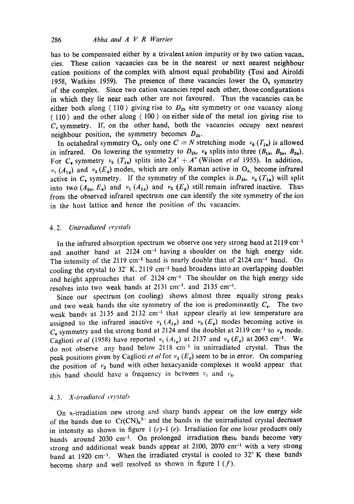has to be compensated either by a trivalent anion impurity or by two cation vacan\_ cies. These cation vacancies can be in the nearest or next nearest neighbour cation positions of the complex with almost equal probability (Tosi and Airoldi 1958, Watkins 1959). The presence of these vacancies lower the  $O<sub>h</sub>$  symmetry of the complex. Since two cation vacancies repel each other, those configurations in which they lie near each other are not favoured. Thus the vacancies can be either both along  $\langle 110 \rangle$  giving rise to  $D_{2h}$  site symmetry or one vacancy along  $(110)$  and the other along  $(100)$  on either side of the metal ion giving rise to  $C_s$  symmetry. If, on the other hand, both the vacancies occupy next nearest neighbour position, the symmetry becomes  $D_{4h}$ .

In octahedral symmetry  $O_h$ , only one  $C \equiv N$  stretching mode  $v_6$  ( $T_{1u}$ ) is allowed in infrared. On lowering the symmetry to  $D_{2h}$ ,  $v_6$  splits into three  $(B_{1u}, B_{2u}, B_{3u})$ . For C<sub>r</sub> symmetry  $v_6$  (T<sub>14</sub>) splits into  $2A' + A''$  (Wilson *et al* 1955). In addition,  $v_1$  ( $A_{1g}$ ) and  $v_3$  ( $E_g$ ) modes, which are only Raman active in O<sub>h</sub>, become infrared active in  $C_$  symmetry. If the symmetry of the complex is  $D_{4h}$ ,  $v_6$  ( $T_{1u}$ ) will split into two  $(A_{2u}, E_u)$  and  $\nu_1(A_{1g})$  and  $\nu_3(E_g)$  still remain infrared inactive. Thus from the observed infrared spectrum one can identify the site symmetry of the ion in the host lattice and hence the position of the vacancies.

#### 4.2. Unirradiated crystals

In the infrared absorption spectrum we observe one very strong band at 2119 cm<sup>-1</sup> and another band at 2124 cm<sup>-1</sup> having a shoulder on the high energy side. The intensity of the 2119 cm<sup>-1</sup> band is nearly double that of  $2124$  cm<sup>-1</sup> band. On cooling the crystal to  $32^{\circ}$  K, 2119 cm<sup>-1</sup> band broadens into an overlapping doublet and height approaches that of  $2124 \text{ cm}^{-1}$  The shoulder on the high energy side resolves into two weak bands at 2131 cm<sup>-1</sup>. and 2135 cm<sup>-1</sup>.

Since our spectrum (on cooling) shows almost three equally strong peaks and two weak bands the site symmetry of the ion is predominantly  $C<sub>1</sub>$ . The two weak bands at 2135 and 2132 cm<sup>-1</sup> that appear clearly at low temperature are assigned to the infrared inactive  $v_1$  ( $A_{1g}$ ) and  $v_3$  ( $E_g$ ) modes becoming active in  $C<sub>n</sub>$  symmetry and the strong band at 2124 and the doublet at 2119 cm<sup>-1</sup> to  $v<sub>6</sub>$  mode. Caglioti *et al* (1958) have reported  $v_1(A_{1g})$  at 2137 and  $v_3(E_g)$  at 2063 cm<sup>-1</sup>. We do not observe any band below 2118 cm<sup>-1</sup> in unirradiated crystal. Thus the peak positions given by Caglioti *et al* for  $v_3(E_g)$  seem to be in error. On comparing the position of  $v_3$  band with other hexacyanide complexes it would appear that this band should have a frequency in between  $v_1$  and  $v_6$ .

## **4.3.** *X-irradiated crystals*

On x-irradiation new strong and sharp bands appear on the low energy side of the bands due to  $Cr(CN)_6^{3-}$  and the bands in the unirradiated crystal decrease in intensity as shown in figure  $1$  (c)-1 (e). Irradiation for one hour produces only bands around 2030 cm<sup>-1</sup>. On prolonged irradiation these bands become very strong and additional weak bands appear at 2100, 2070  $cm<sup>-1</sup>$  with a very strong band at 1920 cm<sup>-1</sup>. When the irradiated crystal is cooled to  $32^{\circ}$  K these bands become sharp and well resolved as shown in figure  $1(f)$ .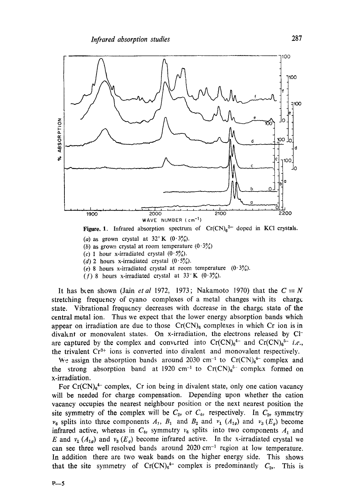

Figure. 1. Infrared absorption spectrum of  $Cr(CN)<sub>6</sub><sup>2-</sup>$  doped in KCl crystals.

- (a) as grown crystal at  $32^{\circ}$  K  $(0.3\%)$ .
- (b) as grown crystal at room temperature  $(0.3\%)$
- (c) 1 hour x-irradiated crystal  $(0.5\%)$ .
- (d) 2 hours x-irradiated crystal  $(0.5\%)$ .
- (e) 8 hours x-irradiated crystal at room temperature  $(0.3\%)$ .
- (f) 8 hours x-irradiated crystal at  $33^{\circ}$  K (0.3%).

It has been shown (Jain *et al* 1972, 1973; Nakamoto 1970) that the  $C \equiv N$ stretching frequency of cyano complexes of a metal changes with its charge state. Vibrational frequency decreases with decrease in the charge state of the central metal ion. Thus we expect that the lower energy absorption bands which appear on irradiation are due to those  $Cr(CN)_{6}$  complexes in which Cr ion is in divaknt or monovalent states. On x-irradiation, the electrons released by Clare captured by the complex and converted into  $Cr(CN)_{6}^{4-}$  and  $Cr(CN)_{6}^{5-}$  *i.e.*, the trivalent  $Cr^{3+}$  ions is converted into divalent and monovalent respectively.

We assign the absorption bands around 2030 cm<sup>-1</sup> to Cr(CN)<sub>6</sub><sup>4-</sup> complex and the strong absorption band at 1920 cm<sup>-1</sup> to  $Cr(CN)_{6}^{5-}$  complex formed on x-irradiation.

For  $Cr(CN)<sub>6</sub><sup>4-</sup>$  complex, Cr ion being in divalent state, only one cation vacancy will be needed for charge compensation. Depending upon whether the cation vacancy occupies the nearest neighbour position or the next nearest position the site symmetry of the complex will be  $C_{2v}$  or  $C_{4v}$  respectively. In  $C_{2v}$  symmetry  $v_6$  splits into three components  $A_1$ ,  $B_1$  and  $B_2$  and  $v_1$   $(A_{1g})$  and  $v_3$   $(E_g)$  become infrared active, whereas in  $C_{4v}$  symmetry  $v_6$  splits into two components  $A_1$  and E and  $v_1$  ( $A_{1g}$ ) and  $v_3$  (E<sub>g</sub>) become infrared active. In the x-irradiated crystal we can see three well resolved bands around  $2020 \text{ cm}^{-1}$  region at low temperature. In addition there are two weak bands on the higher energy side. This shows that the site symmetry of  $Cr(CN)_6^{4-}$  complex is predominantly  $C_{2v}$ . This is